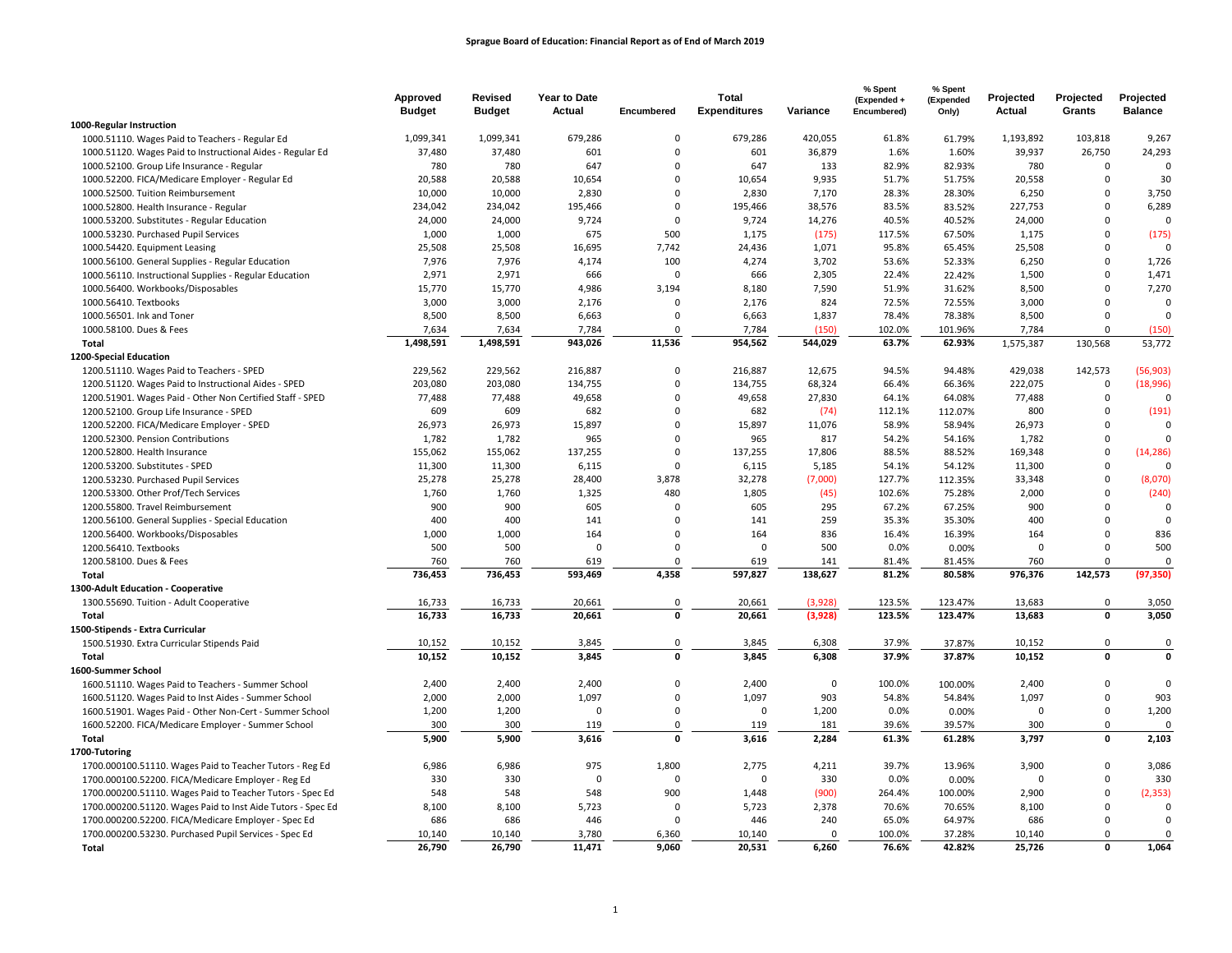|                                                             | Approved<br><b>Budget</b> | Revised<br><b>Budget</b> | <b>Year to Date</b><br><b>Actual</b> | Encumbered  | <b>Total</b><br><b>Expenditures</b> | Variance | % Spent<br>(Expended +<br>Encumbered) | % Spent<br>(Expended<br>Only) | Projected<br>Actual | Projected<br>Grants | Projected<br><b>Balance</b> |
|-------------------------------------------------------------|---------------------------|--------------------------|--------------------------------------|-------------|-------------------------------------|----------|---------------------------------------|-------------------------------|---------------------|---------------------|-----------------------------|
| 1000-Regular Instruction                                    |                           |                          |                                      |             |                                     |          |                                       |                               |                     |                     |                             |
| 1000.51110. Wages Paid to Teachers - Regular Ed             | 1,099,341                 | 1,099,341                | 679,286                              | 0           | 679,286                             | 420,055  | 61.8%                                 | 61.79%                        | 1,193,892           | 103,818             | 9,267                       |
| 1000.51120. Wages Paid to Instructional Aides - Regular Ed  | 37,480                    | 37,480                   | 601                                  | $\mathbf 0$ | 601                                 | 36,879   | 1.6%                                  | 1.60%                         | 39,937              | 26,750              | 24,293                      |
| 1000.52100. Group Life Insurance - Regular                  | 780                       | 780                      | 647                                  | $\Omega$    | 647                                 | 133      | 82.9%                                 | 82.93%                        | 780                 | $\mathbf 0$         | $\mathbf 0$                 |
| 1000.52200. FICA/Medicare Employer - Regular Ed             | 20,588                    | 20,588                   | 10,654                               | $\mathbf 0$ | 10,654                              | 9,935    | 51.7%                                 | 51.75%                        | 20,558              | $\mathbf 0$         | 30                          |
| 1000.52500. Tuition Reimbursement                           | 10,000                    | 10,000                   | 2,830                                | $\mathbf 0$ | 2,830                               | 7,170    | 28.3%                                 | 28.30%                        | 6,250               | $\Omega$            | 3,750                       |
| 1000.52800. Health Insurance - Regular                      | 234,042                   | 234,042                  | 195,466                              | 0           | 195,466                             | 38,576   | 83.5%                                 | 83.52%                        | 227,753             | $\mathbf 0$         | 6,289                       |
| 1000.53200. Substitutes - Regular Education                 | 24,000                    | 24,000                   | 9,724                                | $\mathbf 0$ | 9,724                               | 14,276   | 40.5%                                 | 40.52%                        | 24,000              | $\Omega$            | $\mathbf 0$                 |
| 1000.53230. Purchased Pupil Services                        | 1,000                     | 1,000                    | 675                                  | 500         | 1,175                               | (175)    | 117.5%                                | 67.50%                        | 1,175               | $\Omega$            | (175)                       |
| 1000.54420. Equipment Leasing                               | 25,508                    | 25,508                   | 16,695                               | 7,742       | 24,436                              | 1,071    | 95.8%                                 | 65.45%                        | 25,508              | $\mathsf 0$         | $\Omega$                    |
| 1000.56100. General Supplies - Regular Education            | 7,976                     | 7,976                    | 4,174                                | 100         | 4,274                               | 3,702    | 53.6%                                 | 52.33%                        | 6,250               | $\mathbf 0$         | 1,726                       |
| 1000.56110. Instructional Supplies - Regular Education      | 2,971                     | 2,971                    | 666                                  | 0           | 666                                 | 2,305    | 22.4%                                 | 22.42%                        | 1,500               | $\Omega$            | 1,471                       |
| 1000.56400. Workbooks/Disposables                           | 15,770                    | 15,770                   | 4,986                                | 3,194       | 8,180                               | 7,590    | 51.9%                                 | 31.62%                        | 8,500               | $\mathbf 0$         | 7,270                       |
| 1000.56410. Textbooks                                       | 3,000                     | 3,000                    | 2,176                                | $\Omega$    | 2,176                               | 824      | 72.5%                                 | 72.55%                        | 3,000               | $\Omega$            | $\mathbf 0$                 |
| 1000.56501. Ink and Toner                                   | 8,500                     | 8,500                    | 6,663                                | $\Omega$    | 6,663                               | 1,837    | 78.4%                                 | 78.38%                        | 8,500               | $\Omega$            | $\mathbf 0$                 |
| 1000.58100. Dues & Fees                                     | 7,634                     | 7,634                    | 7,784                                | $\Omega$    | 7,784                               | (150)    | 102.0%                                | 101.96%                       | 7,784               | $\Omega$            | (150)                       |
| Total                                                       | 1,498,591                 | 1,498,591                | 943,026                              | 11,536      | 954,562                             | 544,029  | 63.7%                                 | 62.93%                        | 1,575,387           | 130,568             | 53,772                      |
| 1200-Special Education                                      |                           |                          |                                      |             |                                     |          |                                       |                               |                     |                     |                             |
| 1200.51110. Wages Paid to Teachers - SPED                   | 229,562                   | 229,562                  | 216,887                              | 0           | 216,887                             | 12,675   | 94.5%                                 | 94.48%                        | 429,038             | 142,573             | (56, 903)                   |
| 1200.51120. Wages Paid to Instructional Aides - SPED        | 203,080                   | 203,080                  | 134,755                              | $\mathsf 0$ | 134,755                             | 68,324   | 66.4%                                 | 66.36%                        | 222,075             | $\mathsf 0$         | (18,996)                    |
| 1200.51901. Wages Paid - Other Non Certified Staff - SPED   | 77,488                    | 77,488                   | 49,658                               | $\Omega$    | 49,658                              | 27,830   | 64.1%                                 | 64.08%                        | 77,488              | $\mathbf 0$         | $\Omega$                    |
| 1200.52100. Group Life Insurance - SPED                     | 609                       | 609                      | 682                                  | $\Omega$    | 682                                 | (74)     | 112.1%                                | 112.07%                       | 800                 | $\Omega$            | (191)                       |
| 1200.52200. FICA/Medicare Employer - SPED                   | 26,973                    | 26,973                   | 15,897                               | 0           | 15,897                              | 11,076   | 58.9%                                 | 58.94%                        | 26,973              | $\mathbf 0$         | $\mathbf 0$                 |
| 1200.52300. Pension Contributions                           | 1,782                     | 1,782                    | 965                                  | $\Omega$    | 965                                 | 817      | 54.2%                                 | 54.16%                        | 1,782               | $\Omega$            | $\Omega$                    |
| 1200.52800. Health Insurance                                | 155,062                   | 155,062                  | 137,255                              | $\Omega$    | 137,255                             | 17,806   | 88.5%                                 | 88.52%                        | 169,348             | $\Omega$            | (14, 286)                   |
| 1200.53200. Substitutes - SPED                              | 11,300                    | 11,300                   | 6,115                                | $\Omega$    | 6,115                               | 5,185    | 54.1%                                 | 54.12%                        | 11,300              | $\mathbf 0$         | $\Omega$                    |
| 1200.53230. Purchased Pupil Services                        | 25,278                    | 25,278                   | 28,400                               | 3,878       | 32,278                              | (7,000)  | 127.7%                                | 112.35%                       | 33,348              | $\mathsf 0$         | (8,070)                     |
| 1200.53300. Other Prof/Tech Services                        | 1,760                     | 1,760                    | 1,325                                | 480         | 1,805                               | (45)     | 102.6%                                | 75.28%                        | 2,000               | $\mathbf 0$         | (240)                       |
| 1200.55800. Travel Reimbursement                            | 900                       | 900                      | 605                                  | $\mathbf 0$ | 605                                 | 295      | 67.2%                                 | 67.25%                        | 900                 | $\Omega$            | $\mathbf 0$                 |
| 1200.56100. General Supplies - Special Education            | 400                       | 400                      | 141                                  | $\mathbf 0$ | 141                                 | 259      | 35.3%                                 | 35.30%                        | 400                 | $\mathbf 0$         | $\mathbf 0$                 |
| 1200.56400. Workbooks/Disposables                           | 1,000                     | 1,000                    | 164                                  | $\Omega$    | 164                                 | 836      | 16.4%                                 | 16.39%                        | 164                 | $\Omega$            | 836                         |
| 1200.56410. Textbooks                                       | 500                       | 500                      | $\Omega$                             | $\Omega$    | $\Omega$                            | 500      | 0.0%                                  | 0.00%                         | $\Omega$            | $\Omega$            | 500                         |
| 1200.58100. Dues & Fees                                     | 760                       | 760                      | 619                                  | $\Omega$    | 619                                 | 141      | 81.4%                                 | 81.45%                        | 760                 | $\Omega$            | $\mathbf 0$                 |
| Total                                                       | 736,453                   | 736,453                  | 593,469                              | 4,358       | 597,827                             | 138,627  | 81.2%                                 | 80.58%                        | 976,376             | 142,573             | (97, 350)                   |
| 1300-Adult Education - Cooperative                          |                           |                          |                                      |             |                                     |          |                                       |                               |                     |                     |                             |
| 1300.55690. Tuition - Adult Cooperative                     | 16,733                    | 16,733                   | 20,661                               | 0           | 20,661                              | (3,928)  | 123.5%                                | 123.47%                       | 13,683              | $\mathbf 0$         | 3,050                       |
| Total                                                       | 16,733                    | 16,733                   | 20,661                               | $\mathbf 0$ | 20,661                              | (3,928)  | 123.5%                                | 123.47%                       | 13,683              | $\mathbf 0$         | 3,050                       |
| 1500-Stipends - Extra Curricular                            |                           |                          |                                      |             |                                     |          |                                       |                               |                     |                     |                             |
| 1500.51930. Extra Curricular Stipends Paid                  | 10,152                    | 10,152                   | 3,845                                | 0           | 3,845                               | 6,308    | 37.9%                                 | 37.87%                        | 10,152              | 0                   | $\mathbf 0$                 |
| Total                                                       | 10,152                    | 10,152                   | 3,845                                | $\mathbf 0$ | 3,845                               | 6,308    | 37.9%                                 | 37.87%                        | 10,152              | $\mathbf 0$         | $\pmb{\mathsf{o}}$          |
| 1600-Summer School                                          |                           |                          |                                      |             |                                     |          |                                       |                               |                     |                     |                             |
| 1600.51110. Wages Paid to Teachers - Summer School          | 2,400                     | 2,400                    | 2,400                                | 0           | 2,400                               | $\Omega$ | 100.0%                                | 100.00%                       | 2,400               | $\Omega$            | $\mathbf 0$                 |
| 1600.51120. Wages Paid to Inst Aides - Summer School        | 2,000                     | 2,000                    | 1,097                                | 0           | 1,097                               | 903      | 54.8%                                 | 54.84%                        | 1,097               | $\Omega$            | 903                         |
| 1600.51901. Wages Paid - Other Non-Cert - Summer School     | 1,200                     | 1,200                    | $\Omega$                             | $\mathbf 0$ | $\Omega$                            | 1,200    | 0.0%                                  | 0.00%                         | $\mathbf 0$         | $\mathbf 0$         | 1,200                       |
| 1600.52200. FICA/Medicare Employer - Summer School          | 300                       | 300                      | 119                                  | $\mathsf 0$ | 119                                 | 181      | 39.6%                                 | 39.57%                        | 300                 | 0                   | $\mathbf 0$                 |
| Total                                                       | 5,900                     | 5,900                    | 3,616                                | $\mathbf 0$ | 3,616                               | 2,284    | 61.3%                                 | 61.28%                        | 3,797               | 0                   | 2,103                       |
| 1700-Tutoring                                               |                           |                          |                                      |             |                                     |          |                                       |                               |                     |                     |                             |
| 1700.000100.51110. Wages Paid to Teacher Tutors - Reg Ed    | 6,986                     | 6,986                    | 975                                  | 1,800       | 2,775                               | 4,211    | 39.7%                                 | 13.96%                        | 3,900               | 0                   | 3,086                       |
| 1700.000100.52200. FICA/Medicare Employer - Reg Ed          | 330                       | 330                      | $\Omega$                             | $\mathbf 0$ | $\Omega$                            | 330      | 0.0%                                  | 0.00%                         | $\Omega$            | $\Omega$            | 330                         |
| 1700.000200.51110. Wages Paid to Teacher Tutors - Spec Ed   | 548                       | 548                      | 548                                  | 900         | 1,448                               | (900)    | 264.4%                                | 100.00%                       | 2,900               | $\mathbf 0$         | (2, 353)                    |
| 1700.000200.51120. Wages Paid to Inst Aide Tutors - Spec Ed | 8,100                     | 8,100                    | 5,723                                | $\mathbf 0$ | 5,723                               | 2,378    | 70.6%                                 | 70.65%                        | 8,100               | 0                   | $\mathbf 0$                 |
| 1700.000200.52200. FICA/Medicare Employer - Spec Ed         | 686                       | 686                      | 446                                  | $\Omega$    | 446                                 | 240      | 65.0%                                 | 64.97%                        | 686                 | $\Omega$            | $\mathbf 0$                 |
| 1700.000200.53230. Purchased Pupil Services - Spec Ed       | 10,140                    | 10,140                   | 3,780                                | 6,360       | 10,140                              | $\Omega$ | 100.0%                                | 37.28%                        | 10,140              | $\mathbf 0$         | $\mathbf 0$                 |
| <b>Total</b>                                                | 26.790                    | 26.790                   | 11.471                               | 9.060       | 20,531                              | 6.260    | 76.6%                                 | 42.82%                        | 25,726              | $\mathbf{0}$        | 1,064                       |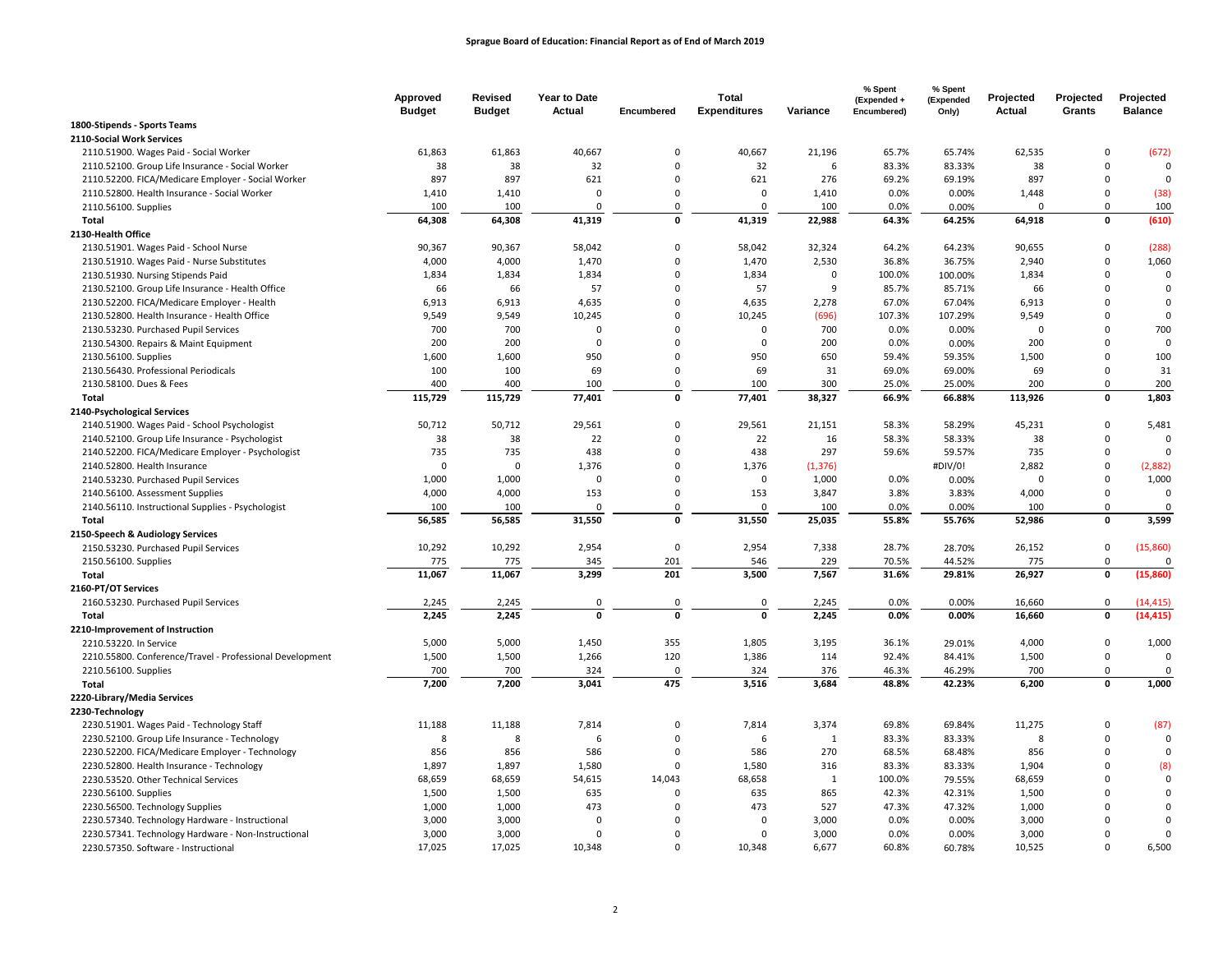|                                                          | Approved      | Revised       | Year to Date  |                     | <b>Total</b>          |                | % Spent<br>(Expended + | % Spent<br>(Expended | Projected     | Projected                       | Projected            |
|----------------------------------------------------------|---------------|---------------|---------------|---------------------|-----------------------|----------------|------------------------|----------------------|---------------|---------------------------------|----------------------|
| 1800-Stipends - Sports Teams                             | <b>Budget</b> | <b>Budget</b> | <b>Actual</b> | Encumbered          | <b>Expenditures</b>   | Variance       | Encumbered)            | Only)                | Actual        | Grants                          | <b>Balance</b>       |
| 2110-Social Work Services                                |               |               |               |                     |                       |                |                        |                      |               |                                 |                      |
| 2110.51900. Wages Paid - Social Worker                   | 61,863        | 61,863        | 40,667        | $\mathsf 0$         | 40,667                | 21,196         | 65.7%                  | 65.74%               | 62,535        | $\mathsf 0$                     | (672)                |
| 2110.52100. Group Life Insurance - Social Worker         | 38            | 38            | 32            | $\Omega$            | 32                    | 6              | 83.3%                  | 83.33%               | 38            | $\Omega$                        | $\Omega$             |
| 2110.52200. FICA/Medicare Employer - Social Worker       | 897           | 897           | 621           | $\Omega$            | 621                   | 276            | 69.2%                  | 69.19%               | 897           | $\Omega$                        | $\mathbf 0$          |
| 2110.52800. Health Insurance - Social Worker             | 1,410         | 1,410         | $\Omega$      | $\mathbf 0$         | $\mathbf 0$           | 1,410          | 0.0%                   | 0.00%                | 1,448         | $\mathbf 0$                     | (38)                 |
| 2110.56100. Supplies                                     | 100           | 100           | 0             | $\Omega$            | $\Omega$              | 100            | 0.0%                   | 0.00%                | $\Omega$      | $\Omega$                        | 100                  |
| Total                                                    | 64,308        | 64,308        | 41,319        | $\mathbf 0$         | 41,319                | 22,988         | 64.3%                  | 64.25%               | 64,918        | 0                               | (610)                |
| 2130-Health Office                                       |               |               |               |                     |                       |                |                        |                      |               |                                 |                      |
| 2130.51901. Wages Paid - School Nurse                    | 90,367        | 90,367        | 58,042        | $\mathsf 0$         | 58,042                | 32,324         | 64.2%                  | 64.23%               | 90,655        | $\Omega$                        | (288)                |
| 2130.51910. Wages Paid - Nurse Substitutes               | 4,000         | 4,000         | 1,470         | $\mathsf 0$         | 1,470                 | 2,530          | 36.8%                  | 36.75%               | 2,940         | $\mathbf 0$                     | 1,060                |
| 2130.51930. Nursing Stipends Paid                        | 1,834         | 1,834         | 1,834         | $\mathbf 0$         | 1,834                 | $\Omega$       | 100.0%                 | 100.00%              | 1,834         | $\Omega$                        | 0                    |
| 2130.52100. Group Life Insurance - Health Office         | 66            | 66            | 57            | $\mathbf 0$         | 57                    | 9              | 85.7%                  | 85.71%               | 66            | $\Omega$                        | $\mathbf 0$          |
| 2130.52200. FICA/Medicare Employer - Health              | 6,913         | 6,913         | 4,635         | $\mathbf 0$         | 4,635                 | 2,278          | 67.0%                  | 67.04%               | 6,913         | $\Omega$                        | $\mathbf 0$          |
| 2130.52800. Health Insurance - Health Office             | 9,549         | 9,549         | 10,245        | $\Omega$            | 10,245                | (696)          | 107.3%                 | 107.29%              | 9,549         | $\Omega$                        | $\mathbf 0$          |
| 2130.53230. Purchased Pupil Services                     | 700           | 700           | $\mathbf 0$   | $\Omega$            | $\mathbf 0$           | 700            | 0.0%                   | 0.00%                | $\mathbf 0$   | $\Omega$                        | 700                  |
| 2130.54300. Repairs & Maint Equipment                    | 200           | 200           | $\mathbf 0$   | $\mathbf 0$         | $\mathbf 0$           | 200            | 0.0%                   | 0.00%                | 200           | $\mathbf 0$                     | $\mathbf 0$          |
| 2130.56100. Supplies                                     | 1,600         | 1,600         | 950           | $\Omega$            | 950                   | 650            | 59.4%                  | 59.35%               | 1,500         | $\Omega$                        | 100                  |
| 2130.56430. Professional Periodicals                     | 100           | 100           | 69            | $\mathbf 0$         | 69                    | 31             | 69.0%                  | 69.00%               | 69            | $\Omega$                        | 31                   |
| 2130.58100. Dues & Fees                                  | 400           | 400           | 100           | 0                   | 100                   | 300            | 25.0%                  | 25.00%               | 200           | $\mathbf 0$                     | 200                  |
| Total                                                    | 115,729       | 115,729       | 77,401        | $\mathbf 0$         | 77,401                | 38,327         | 66.9%                  | 66.88%               | 113,926       | $\mathbf{0}$                    | 1,803                |
| 2140-Psychological Services                              |               |               |               |                     |                       |                |                        |                      |               |                                 |                      |
|                                                          | 50,712        | 50,712        | 29,561        | 0                   | 29,561                | 21,151         | 58.3%                  |                      | 45,231        | $\mathbf 0$                     | 5,481                |
| 2140.51900. Wages Paid - School Psychologist             |               | 38            | 22            | $\Omega$            |                       | 16             |                        | 58.29%               | 38            | $\Omega$                        | $\Omega$             |
| 2140.52100. Group Life Insurance - Psychologist          | 38<br>735     | 735           | 438           | $\Omega$            | 22<br>438             | 297            | 58.3%<br>59.6%         | 58.33%<br>59.57%     | 735           | $\Omega$                        | $\Omega$             |
| 2140.52200. FICA/Medicare Employer - Psychologist        | 0             | $\mathbf 0$   | 1,376         | $\Omega$            |                       |                |                        |                      | 2,882         | $\mathbf 0$                     |                      |
| 2140.52800. Health Insurance                             |               |               | $\Omega$      | $\Omega$            | 1,376<br>$\mathbf 0$  | (1, 376)       |                        | #DIV/0!              | $\Omega$      | $\mathsf 0$                     | (2,882)              |
| 2140.53230. Purchased Pupil Services                     | 1,000         | 1,000         | 153           | $\mathsf 0$         |                       | 1,000          | 0.0%<br>3.8%           | 0.00%                |               | $\mathsf 0$                     | 1,000<br>$\mathbf 0$ |
| 2140.56100. Assessment Supplies                          | 4,000         | 4,000<br>100  | $\Omega$      | $\Omega$            | 153<br>$\mathbf 0$    | 3,847          |                        | 3.83%                | 4,000         | $\mathbf 0$                     | $\mathbf 0$          |
| 2140.56110. Instructional Supplies - Psychologist        | 100           | 56,585        | 31,550        | $\mathbf 0$         | 31,550                | 100<br>25,035  | 0.0%<br>55.8%          | 0.00%<br>55.76%      | 100<br>52,986 | $\mathbf 0$                     |                      |
| Total                                                    | 56,585        |               |               |                     |                       |                |                        |                      |               |                                 | 3,599                |
| 2150-Speech & Audiology Services                         |               |               |               |                     |                       |                |                        |                      |               |                                 |                      |
| 2150.53230. Purchased Pupil Services                     | 10,292        | 10,292        | 2,954         | $\mathsf{O}\xspace$ | 2,954                 | 7,338          | 28.7%                  | 28.70%               | 26,152        | $\mathsf{O}\xspace$<br>$\Omega$ | (15,860)<br>$\Omega$ |
| 2150.56100. Supplies                                     | 775<br>11,067 | 775<br>11,067 | 345<br>3,299  | 201<br>201          | 546<br>3,500          | 229<br>7,567   | 70.5%<br>31.6%         | 44.52%               | 775<br>26,927 | 0                               | (15,860)             |
| Total                                                    |               |               |               |                     |                       |                |                        | 29.81%               |               |                                 |                      |
| 2160-PT/OT Services                                      |               |               |               |                     |                       |                |                        |                      |               |                                 |                      |
| 2160.53230. Purchased Pupil Services                     | 2,245         | 2,245         | 0<br>0        | 0<br>$\Omega$       | $\pmb{0}$<br>$\Omega$ | 2,245<br>2,245 | 0.0%                   | 0.00%                | 16,660        | $\mathbf 0$<br>$\mathbf{0}$     | (14, 415)            |
| Total                                                    | 2,245         | 2,245         |               |                     |                       |                | 0.0%                   | 0.00%                | 16,660        |                                 | (14, 415)            |
| 2210-Improvement of Instruction                          |               |               |               |                     |                       |                |                        |                      |               |                                 |                      |
| 2210.53220. In Service                                   | 5,000         | 5,000         | 1,450         | 355                 | 1,805                 | 3,195          | 36.1%                  | 29.01%               | 4,000         | $\mathsf{O}\xspace$             | 1,000                |
| 2210.55800. Conference/Travel - Professional Development | 1,500         | 1,500         | 1,266         | 120                 | 1,386                 | 114            | 92.4%                  | 84.41%               | 1,500         | $\mathsf{O}\xspace$             | $\mathbf 0$          |
| 2210.56100. Supplies                                     | 700           | 700           | 324           | $\Omega$<br>475     | 324                   | 376            | 46.3%                  | 46.29%               | 700           | $\Omega$<br>0                   | $\mathbf 0$          |
| Total                                                    | 7,200         | 7,200         | 3,041         |                     | 3,516                 | 3,684          | 48.8%                  | 42.23%               | 6,200         |                                 | 1,000                |
| 2220-Library/Media Services                              |               |               |               |                     |                       |                |                        |                      |               |                                 |                      |
| 2230-Technology                                          |               |               |               |                     |                       |                |                        |                      |               |                                 |                      |
| 2230.51901. Wages Paid - Technology Staff                | 11,188        | 11,188        | 7,814         | $\mathbf 0$         | 7,814                 | 3,374          | 69.8%                  | 69.84%               | 11,275        | $\mathbf 0$                     | (87)                 |
| 2230.52100. Group Life Insurance - Technology            | 8             | 8             | 6             | $\mathbf 0$         | 6                     | 1              | 83.3%                  | 83.33%               | 8             | $\Omega$                        | $\mathbf 0$          |
| 2230.52200. FICA/Medicare Employer - Technology          | 856           | 856           | 586           | 0                   | 586                   | 270            | 68.5%                  | 68.48%               | 856           | $\Omega$                        | $\mathbf 0$          |
| 2230.52800. Health Insurance - Technology                | 1,897         | 1,897         | 1,580         | 0                   | 1,580                 | 316            | 83.3%                  | 83.33%               | 1,904         | $\Omega$                        | (8)                  |
| 2230.53520. Other Technical Services                     | 68,659        | 68,659        | 54,615        | 14,043              | 68,658                | 1              | 100.0%                 | 79.55%               | 68,659        | $\Omega$                        | $\mathbf 0$          |
| 2230.56100. Supplies                                     | 1,500         | 1,500         | 635           | $\mathbf 0$         | 635                   | 865            | 42.3%                  | 42.31%               | 1,500         | $\Omega$                        | $\mathbf 0$          |
| 2230.56500. Technology Supplies                          | 1,000         | 1,000         | 473           | $\mathbf 0$         | 473                   | 527            | 47.3%                  | 47.32%               | 1,000         | $\mathbf 0$                     | $\mathsf 0$          |
| 2230.57340. Technology Hardware - Instructional          | 3,000         | 3,000         | $\Omega$      | $\Omega$            | $\Omega$              | 3,000          | 0.0%                   | 0.00%                | 3,000         | $\Omega$                        | $\mathbf 0$          |
| 2230.57341. Technology Hardware - Non-Instructional      | 3,000         | 3,000         | $\Omega$      | $\Omega$            | $\Omega$              | 3,000          | 0.0%                   | 0.00%                | 3,000         | $\Omega$                        | $\mathbf 0$          |
| 2230.57350. Software - Instructional                     | 17,025        | 17,025        | 10,348        | $\Omega$            | 10,348                | 6,677          | 60.8%                  | 60.78%               | 10,525        | $\Omega$                        | 6,500                |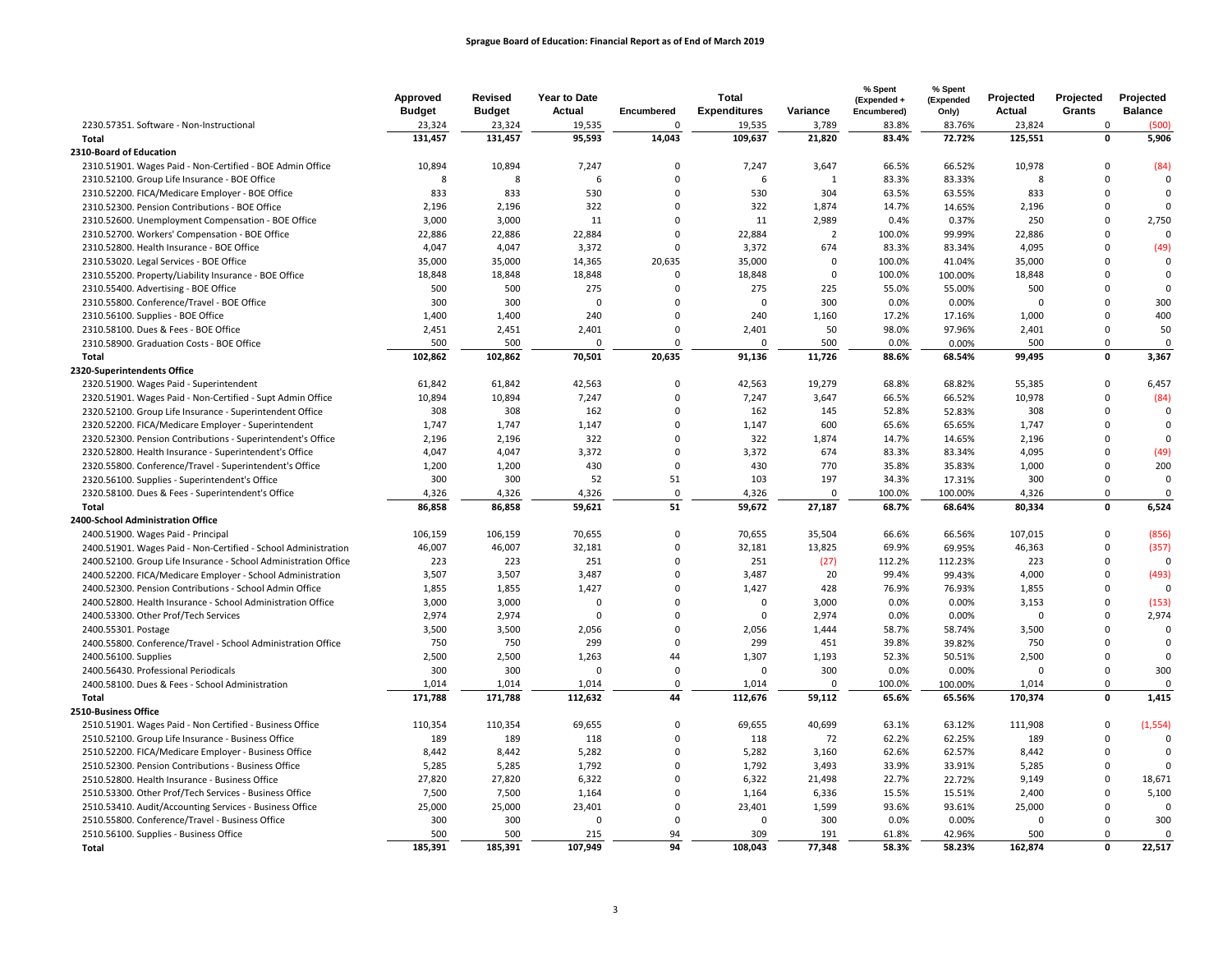|                                                                 | Approved<br><b>Budget</b> | <b>Revised</b><br><b>Budget</b> | Year to Date<br>Actual | Encumbered   | <b>Total</b><br><b>Expenditures</b> | Variance       | % Spent<br>(Expended +<br>Encumbered) | % Spent<br>(Expended<br>Only) | Projected<br>Actual | Projected<br>Grants | Projected<br><b>Balance</b> |
|-----------------------------------------------------------------|---------------------------|---------------------------------|------------------------|--------------|-------------------------------------|----------------|---------------------------------------|-------------------------------|---------------------|---------------------|-----------------------------|
| 2230.57351. Software - Non-Instructional                        | 23,324                    | 23,324                          | 19,535                 | $\mathbf 0$  | 19,535                              | 3,789          | 83.8%                                 | 83.76%                        | 23,824              | $\Omega$            | (500)                       |
| Total                                                           | 131,457                   | 131,457                         | 95,593                 | 14,043       | 109,637                             | 21,820         | 83.4%                                 | 72.72%                        | 125,551             | $\mathbf 0$         | 5,906                       |
| 2310-Board of Education                                         |                           |                                 |                        |              |                                     |                |                                       |                               |                     |                     |                             |
| 2310.51901. Wages Paid - Non-Certified - BOE Admin Office       | 10,894                    | 10,894                          | 7,247                  | $\mathbf 0$  | 7,247                               | 3,647          | 66.5%                                 | 66.52%                        | 10,978              | $\Omega$            | (84)                        |
| 2310.52100. Group Life Insurance - BOE Office                   | 8                         | 8                               | 6                      | $\mathbf 0$  | 6                                   | $\mathbf{1}$   | 83.3%                                 | 83.33%                        | $\mathbf{R}$        | $\Omega$            | 0                           |
| 2310.52200. FICA/Medicare Employer - BOE Office                 | 833                       | 833                             | 530                    | $\mathbf 0$  | 530                                 | 304            | 63.5%                                 | 63.55%                        | 833                 | $\mathbf 0$         | 0                           |
| 2310.52300. Pension Contributions - BOE Office                  | 2,196                     | 2,196                           | 322                    | $\mathbf 0$  | 322                                 | 1,874          | 14.7%                                 | 14.65%                        | 2,196               | $\mathbf 0$         | $\mathbf 0$                 |
| 2310.52600. Unemployment Compensation - BOE Office              | 3,000                     | 3,000                           | 11                     | $\mathbf 0$  | 11                                  | 2,989          | 0.4%                                  | 0.37%                         | 250                 | $\mathbf 0$         | 2,750                       |
| 2310.52700. Workers' Compensation - BOE Office                  | 22,886                    | 22,886                          | 22,884                 | $\mathbf 0$  | 22,884                              | $\overline{2}$ | 100.0%                                | 99.99%                        | 22,886              | $\Omega$            | 0                           |
| 2310.52800. Health Insurance - BOE Office                       | 4,047                     | 4,047                           | 3,372                  | $\mathbf 0$  | 3,372                               | 674            | 83.3%                                 | 83.34%                        | 4,095               | $\Omega$            | (49)                        |
| 2310.53020. Legal Services - BOE Office                         | 35,000                    | 35,000                          | 14,365                 | 20,635       | 35,000                              | $\mathbf 0$    | 100.0%                                | 41.04%                        | 35,000              | $\mathbf 0$         | $\mathbf 0$                 |
| 2310.55200. Property/Liability Insurance - BOE Office           | 18,848                    | 18,848                          | 18,848                 | $\mathbf 0$  | 18,848                              | $\mathbf 0$    | 100.0%                                | 100.00%                       | 18,848              | $\Omega$            | 0                           |
| 2310.55400. Advertising - BOE Office                            | 500                       | 500                             | 275                    | $\mathbf 0$  | 275                                 | 225            | 55.0%                                 | 55.00%                        | 500                 | $\Omega$            | $\mathbf 0$                 |
| 2310.55800. Conference/Travel - BOE Office                      | 300                       | 300                             | $\Omega$               | $\mathbf{0}$ | $\mathbf 0$                         | 300            | 0.0%                                  | 0.00%                         | $\Omega$            | $\mathbf 0$         | 300                         |
| 2310.56100. Supplies - BOE Office                               | 1,400                     | 1,400                           | 240                    | $\mathbf 0$  | 240                                 | 1,160          | 17.2%                                 | 17.16%                        | 1,000               | $\mathbf 0$         | 400                         |
| 2310.58100. Dues & Fees - BOE Office                            | 2,451                     | 2,451                           | 2,401                  | $\mathbf 0$  | 2,401                               | 50             | 98.0%                                 | 97.96%                        | 2,401               | $\mathbf 0$         | 50                          |
| 2310.58900. Graduation Costs - BOE Office                       | 500                       | 500                             | $\Omega$               | $\mathbf 0$  | $\Omega$                            | 500            | 0.0%                                  | 0.00%                         | 500                 | $\mathbf 0$         | $\mathbf 0$                 |
| Total                                                           | 102,862                   | 102,862                         | 70,501                 | 20,635       | 91,136                              | 11,726         | 88.6%                                 | 68.54%                        | 99,495              | $\pmb{\mathsf{o}}$  | 3,367                       |
| 2320-Superintendents Office                                     |                           |                                 |                        |              |                                     |                |                                       |                               |                     |                     |                             |
| 2320.51900. Wages Paid - Superintendent                         | 61,842                    | 61,842                          | 42,563                 | $\mathbf 0$  | 42,563                              | 19,279         | 68.8%                                 | 68.82%                        | 55,385              | $\mathbf 0$         | 6,457                       |
| 2320.51901. Wages Paid - Non-Certified - Supt Admin Office      | 10,894                    | 10,894                          | 7,247                  | $\mathbf 0$  | 7,247                               | 3,647          | 66.5%                                 | 66.52%                        | 10,978              | $\mathbf 0$         | (84)                        |
| 2320.52100. Group Life Insurance - Superintendent Office        | 308                       | 308                             | 162                    | $\mathbf 0$  | 162                                 | 145            | 52.8%                                 | 52.83%                        | 308                 | $\mathbf 0$         | 0                           |
|                                                                 | 1,747                     | 1,747                           | 1,147                  | $\mathbf 0$  |                                     | 600            | 65.6%                                 |                               | 1,747               | $\mathbf 0$         | $\mathbf 0$                 |
| 2320.52200. FICA/Medicare Employer - Superintendent             |                           |                                 |                        | $\mathbf 0$  | 1,147                               |                |                                       | 65.65%                        |                     | $\Omega$            | 0                           |
| 2320.52300. Pension Contributions - Superintendent's Office     | 2,196                     | 2,196                           | 322<br>3,372           | $\mathbf 0$  | 322                                 | 1,874<br>674   | 14.7%                                 | 14.65%                        | 2,196               | $\Omega$            |                             |
| 2320.52800. Health Insurance - Superintendent's Office          | 4,047                     | 4,047                           |                        | $\mathbf 0$  | 3,372                               |                | 83.3%                                 | 83.34%                        | 4,095               |                     | (49)                        |
| 2320.55800. Conference/Travel - Superintendent's Office         | 1,200                     | 1,200                           | 430                    |              | 430                                 | 770            | 35.8%                                 | 35.83%                        | 1,000               | 0                   | 200                         |
| 2320.56100. Supplies - Superintendent's Office                  | 300                       | 300                             | 52                     | 51           | 103                                 | 197            | 34.3%                                 | 17.31%                        | 300                 | $\mathbf 0$         | 0                           |
| 2320.58100. Dues & Fees - Superintendent's Office               | 4,326                     | 4,326                           | 4,326                  | $\mathbf 0$  | 4,326                               | $\Omega$       | 100.0%                                | 100.00%                       | 4,326               | $\mathbf 0$         | 0                           |
| Total                                                           | 86,858                    | 86,858                          | 59,621                 | 51           | 59,672                              | 27,187         | 68.7%                                 | 68.64%                        | 80.334              | $\mathbf 0$         | 6,524                       |
| 2400-School Administration Office                               |                           |                                 |                        |              |                                     |                |                                       |                               |                     |                     |                             |
| 2400.51900. Wages Paid - Principal                              | 106,159                   | 106,159                         | 70,655                 | $\mathbf 0$  | 70,655                              | 35,504         | 66.6%                                 | 66.56%                        | 107,015             | $\mathsf 0$         | (856)                       |
| 2400.51901. Wages Paid - Non-Certified - School Administration  | 46,007                    | 46,007                          | 32,181                 | $\mathbf 0$  | 32,181                              | 13,825         | 69.9%                                 | 69.95%                        | 46,363              | $\mathbf 0$         | (357)                       |
| 2400.52100. Group Life Insurance - School Administration Office | 223                       | 223                             | 251                    | $\mathbf 0$  | 251                                 | (27)           | 112.2%                                | 112.23%                       | 223                 | $\mathbf 0$         | $\Omega$                    |
| 2400.52200. FICA/Medicare Employer - School Administration      | 3,507                     | 3,507                           | 3,487                  | $\mathbf 0$  | 3,487                               | 20             | 99.4%                                 | 99.43%                        | 4,000               | $\mathbf 0$         | (493)                       |
| 2400.52300. Pension Contributions - School Admin Office         | 1,855                     | 1,855                           | 1,427                  | $\Omega$     | 1,427                               | 428            | 76.9%                                 | 76.93%                        | 1,855               | $\mathbf 0$         | 0                           |
| 2400.52800. Health Insurance - School Administration Office     | 3,000                     | 3,000                           | $\Omega$               | $\Omega$     | $\mathbf 0$                         | 3,000          | 0.0%                                  | 0.00%                         | 3,153               | $\Omega$            | (153)                       |
| 2400.53300. Other Prof/Tech Services                            | 2,974                     | 2,974                           | $\mathbf{0}$           | $\mathbf 0$  | $\pmb{0}$                           | 2,974          | 0.0%                                  | 0.00%                         | $\Omega$            | $\Omega$            | 2,974                       |
| 2400.55301. Postage                                             | 3,500                     | 3,500                           | 2,056                  | $\mathbf 0$  | 2,056                               | 1,444          | 58.7%                                 | 58.74%                        | 3,500               | $\mathbf 0$         | $\mathbf 0$                 |
| 2400.55800. Conference/Travel - School Administration Office    | 750                       | 750                             | 299                    | $\mathbf 0$  | 299                                 | 451            | 39.8%                                 | 39.82%                        | 750                 | $\mathbf 0$         | 0                           |
| 2400.56100. Supplies                                            | 2,500                     | 2,500                           | 1,263                  | 44           | 1,307                               | 1,193          | 52.3%                                 | 50.51%                        | 2,500               | $\mathbf 0$         | $\mathbf 0$                 |
| 2400.56430. Professional Periodicals                            | 300                       | 300                             | $\Omega$               | $\mathbf 0$  | $\mathbf 0$                         | 300            | 0.0%                                  | 0.00%                         | $\Omega$            | $\mathbf 0$         | 300                         |
| 2400.58100. Dues & Fees - School Administration                 | 1,014                     | 1,014                           | 1,014                  | $\mathbf 0$  | 1,014                               | $\Omega$       | 100.0%                                | 100.00%                       | 1,014               | $\mathbf 0$         | $\mathbf 0$                 |
| Total                                                           | 171,788                   | 171,788                         | 112,632                | 44           | 112,676                             | 59,112         | 65.6%                                 | 65.56%                        | 170,374             | $\mathbf 0$         | 1,415                       |
| 2510-Business Office                                            |                           |                                 |                        |              |                                     |                |                                       |                               |                     |                     |                             |
| 2510.51901. Wages Paid - Non Certified - Business Office        | 110,354                   | 110,354                         | 69,655                 | $\mathbf 0$  | 69,655                              | 40,699         | 63.1%                                 | 63.12%                        | 111,908             | $\mathsf 0$         | (1, 554)                    |
| 2510.52100. Group Life Insurance - Business Office              | 189                       | 189                             | 118                    | $\mathbf 0$  | 118                                 | 72             | 62.2%                                 | 62.25%                        | 189                 | $\mathbf 0$         | $\mathbf 0$                 |
| 2510.52200. FICA/Medicare Employer - Business Office            | 8,442                     | 8,442                           | 5,282                  | $\mathbf 0$  | 5,282                               | 3,160          | 62.6%                                 | 62.57%                        | 8,442               | $\mathbf 0$         | 0                           |
| 2510.52300. Pension Contributions - Business Office             | 5,285                     | 5,285                           | 1,792                  | $\mathbf 0$  | 1,792                               | 3,493          | 33.9%                                 | 33.91%                        | 5,285               | $\mathbf 0$         | $\Omega$                    |
| 2510.52800. Health Insurance - Business Office                  | 27,820                    | 27,820                          | 6,322                  | $\mathbf 0$  | 6,322                               | 21,498         | 22.7%                                 | 22.72%                        | 9,149               | $\Omega$            | 18,671                      |
| 2510.53300. Other Prof/Tech Services - Business Office          | 7,500                     | 7,500                           | 1,164                  | $\Omega$     | 1,164                               | 6,336          | 15.5%                                 | 15.51%                        | 2,400               | $\Omega$            | 5,100                       |
| 2510.53410. Audit/Accounting Services - Business Office         | 25,000                    | 25,000                          | 23,401                 | $\mathbf 0$  | 23,401                              | 1,599          | 93.6%                                 | 93.61%                        | 25,000              | $\mathsf 0$         | $\mathbf 0$                 |
| 2510.55800. Conference/Travel - Business Office                 | 300                       | 300                             | $\Omega$               | $\mathbf 0$  | $\mathbf 0$                         | 300            | 0.0%                                  | 0.00%                         | $\Omega$            | $\mathbf 0$         | 300                         |
| 2510.56100. Supplies - Business Office                          | 500                       | 500                             | 215                    | 94           | 309                                 | 191            | 61.8%                                 | 42.96%                        | 500                 | $\mathbf 0$         | 0                           |
| Total                                                           | 185,391                   | 185,391                         | 107.949                | 94           | 108,043                             | 77.348         | 58.3%                                 | 58.23%                        | 162,874             | $\mathbf{0}$        | 22.517                      |